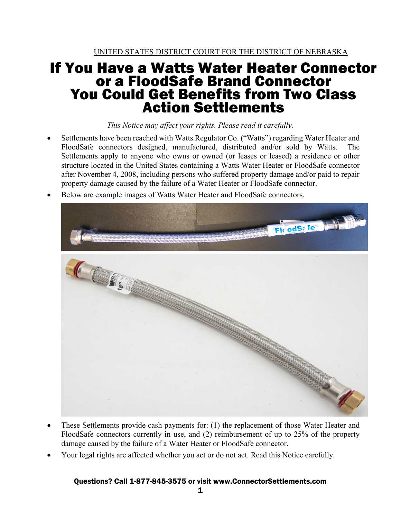# If You Have a Watts Water Heater Connector or a FloodSafe Brand Connector You Could Get Benefits from Two Class Action Settlements

*This Notice may affect your rights. Please read it carefully.* 

- Settlements have been reached with Watts Regulator Co. ("Watts") regarding Water Heater and FloodSafe connectors designed, manufactured, distributed and/or sold by Watts. The Settlements apply to anyone who owns or owned (or leases or leased) a residence or other structure located in the United States containing a Watts Water Heater or FloodSafe connector after November 4, 2008, including persons who suffered property damage and/or paid to repair property damage caused by the failure of a Water Heater or FloodSafe connector.
- Below are example images of Watts Water Heater and FloodSafe connectors.



- These Settlements provide cash payments for: (1) the replacement of those Water Heater and FloodSafe connectors currently in use, and (2) reimbursement of up to 25% of the property damage caused by the failure of a Water Heater or FloodSafe connector.
- Your legal rights are affected whether you act or do not act. Read this Notice carefully.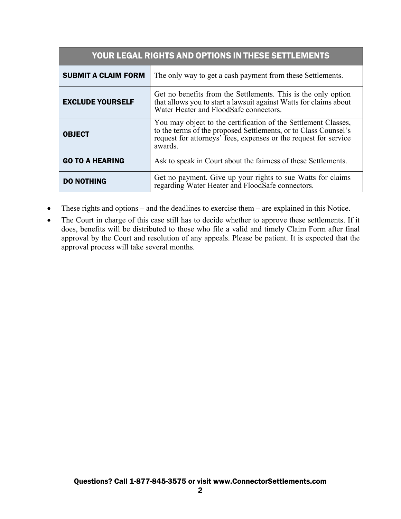| YOUR LEGAL RIGHTS AND OPTIONS IN THESE SETTLEMENTS |                                                                                                                                                                                                                  |  |  |
|----------------------------------------------------|------------------------------------------------------------------------------------------------------------------------------------------------------------------------------------------------------------------|--|--|
| <b>SUBMIT A CLAIM FORM</b>                         | The only way to get a cash payment from these Settlements.                                                                                                                                                       |  |  |
| <b>EXCLUDE YOURSELF</b>                            | Get no benefits from the Settlements. This is the only option<br>that allows you to start a lawsuit against Watts for claims about<br>Water Heater and FloodSafe connectors.                                     |  |  |
| <b>OBJECT</b>                                      | You may object to the certification of the Settlement Classes,<br>to the terms of the proposed Settlements, or to Class Counsel's<br>request for attorneys' fees, expenses or the request for service<br>awards. |  |  |
| <b>GO TO A HEARING</b>                             | Ask to speak in Court about the fairness of these Settlements.                                                                                                                                                   |  |  |
| <b>DO NOTHING</b>                                  | Get no payment. Give up your rights to sue Watts for claims<br>regarding Water Heater and FloodSafe connectors.                                                                                                  |  |  |

- These rights and options and the deadlines to exercise them are explained in this Notice.
- The Court in charge of this case still has to decide whether to approve these settlements. If it does, benefits will be distributed to those who file a valid and timely Claim Form after final approval by the Court and resolution of any appeals. Please be patient. It is expected that the approval process will take several months.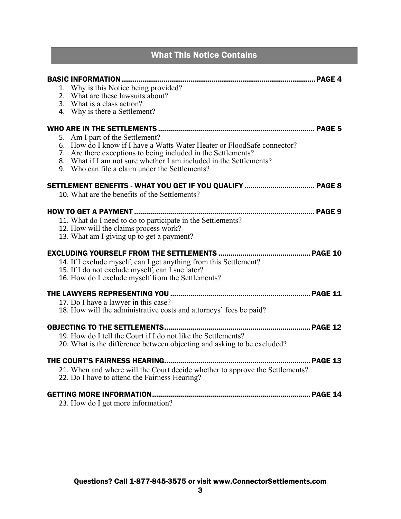## What This Notice Contains

| 1. Why is this Notice being provided?<br>2. What are these lawsuits about?<br>3. What is a class action?<br>4. Why is there a Settlement?                                                                                                                                                           |  |
|-----------------------------------------------------------------------------------------------------------------------------------------------------------------------------------------------------------------------------------------------------------------------------------------------------|--|
| 5. Am I part of the Settlement?<br>6. How do I know if I have a Watts Water Heater or FloodSafe connector?<br>7. Are there exceptions to being included in the Settlements?<br>8. What if I am not sure whether I am included in the Settlements?<br>9. Who can file a claim under the Settlements? |  |
| 10. What are the benefits of the Settlements?                                                                                                                                                                                                                                                       |  |
| 11. What do I need to do to participate in the Settlements?<br>12. How will the claims process work?<br>13. What am I giving up to get a payment?                                                                                                                                                   |  |
| 14. If I exclude myself, can I get anything from this Settlement?<br>15. If I do not exclude myself, can I sue later?<br>16. How do I exclude myself from the Settlements?                                                                                                                          |  |
| 17. Do I have a lawyer in this case?<br>18. How will the administrative costs and attorneys' fees be paid?                                                                                                                                                                                          |  |
| <b>OBJECTING TO THE SETTLEMENTS</b><br>PAGE 12<br>19. How do I tell the Court if I do not like the Settlements?<br>20. What is the difference between objecting and asking to be excluded?                                                                                                          |  |
| 21. When and where will the Court decide whether to approve the Settlements?<br>22. Do I have to attend the Fairness Hearing?                                                                                                                                                                       |  |
| 23. How do I get more information?                                                                                                                                                                                                                                                                  |  |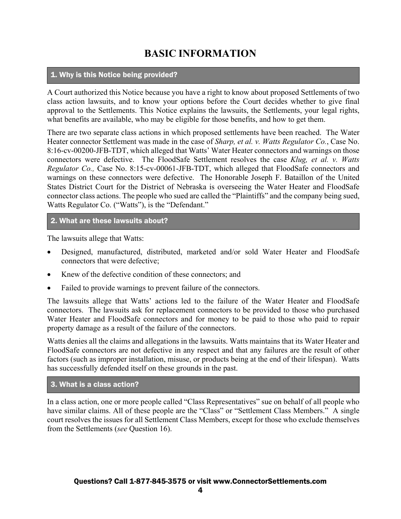## **BASIC INFORMATION**

#### 1. Why is this Notice being provided?

A Court authorized this Notice because you have a right to know about proposed Settlements of two class action lawsuits, and to know your options before the Court decides whether to give final approval to the Settlements. This Notice explains the lawsuits, the Settlements, your legal rights, what benefits are available, who may be eligible for those benefits, and how to get them.

There are two separate class actions in which proposed settlements have been reached. The Water Heater connector Settlement was made in the case of *Sharp, et al. v. Watts Regulator Co.*, Case No. 8:16-cv-00200-JFB-TDT, which alleged that Watts' Water Heater connectors and warnings on those connectors were defective. The FloodSafe Settlement resolves the case *Klug, et al. v. Watts Regulator Co.,* Case No. 8:15-cv-00061-JFB-TDT, which alleged that FloodSafe connectors and warnings on these connectors were defective. The Honorable Joseph F. Bataillon of the United States District Court for the District of Nebraska is overseeing the Water Heater and FloodSafe connector class actions. The people who sued are called the "Plaintiffs" and the company being sued, Watts Regulator Co. ("Watts"), is the "Defendant."

#### 2. What are these lawsuits about?

The lawsuits allege that Watts:

- Designed, manufactured, distributed, marketed and/or sold Water Heater and FloodSafe connectors that were defective;
- Knew of the defective condition of these connectors; and
- Failed to provide warnings to prevent failure of the connectors.

The lawsuits allege that Watts' actions led to the failure of the Water Heater and FloodSafe connectors. The lawsuits ask for replacement connectors to be provided to those who purchased Water Heater and FloodSafe connectors and for money to be paid to those who paid to repair property damage as a result of the failure of the connectors.

Watts denies all the claims and allegations in the lawsuits. Watts maintains that its Water Heater and FloodSafe connectors are not defective in any respect and that any failures are the result of other factors (such as improper installation, misuse, or products being at the end of their lifespan). Watts has successfully defended itself on these grounds in the past.

#### 3. What is a class action?

In a class action, one or more people called "Class Representatives" sue on behalf of all people who have similar claims. All of these people are the "Class" or "Settlement Class Members." A single court resolves the issues for all Settlement Class Members, except for those who exclude themselves from the Settlements (*see* Question 16).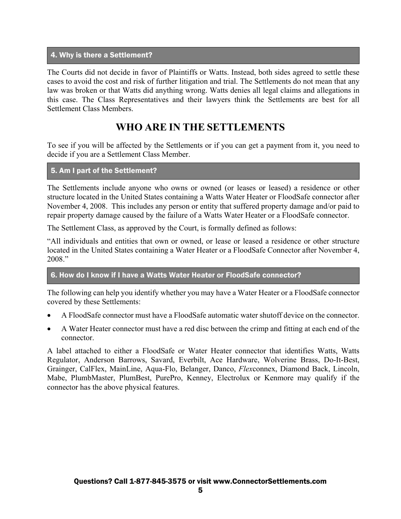#### 4. Why is there a Settlement?

The Courts did not decide in favor of Plaintiffs or Watts. Instead, both sides agreed to settle these cases to avoid the cost and risk of further litigation and trial. The Settlements do not mean that any law was broken or that Watts did anything wrong. Watts denies all legal claims and allegations in this case. The Class Representatives and their lawyers think the Settlements are best for all Settlement Class Members.

### **WHO ARE IN THE SETTLEMENTS**

To see if you will be affected by the Settlements or if you can get a payment from it, you need to decide if you are a Settlement Class Member.

#### 5. Am I part of the Settlement?

The Settlements include anyone who owns or owned (or leases or leased) a residence or other structure located in the United States containing a Watts Water Heater or FloodSafe connector after November 4, 2008. This includes any person or entity that suffered property damage and/or paid to repair property damage caused by the failure of a Watts Water Heater or a FloodSafe connector.

The Settlement Class, as approved by the Court, is formally defined as follows:

"All individuals and entities that own or owned, or lease or leased a residence or other structure located in the United States containing a Water Heater or a FloodSafe Connector after November 4, 2008."

#### 6. How do I know if I have a Watts Water Heater or FloodSafe connector?

The following can help you identify whether you may have a Water Heater or a FloodSafe connector covered by these Settlements:

- A FloodSafe connector must have a FloodSafe automatic water shutoff device on the connector.
- A Water Heater connector must have a red disc between the crimp and fitting at each end of the connector.

A label attached to either a FloodSafe or Water Heater connector that identifies Watts, Watts Regulator, Anderson Barrows, Savard, Everbilt, Ace Hardware, Wolverine Brass, Do-It-Best, Grainger, CalFlex, MainLine, Aqua-Flo, Belanger, Danco, *Flex*connex, Diamond Back, Lincoln, Mabe, PlumbMaster, PlumBest, PurePro, Kenney, Electrolux or Kenmore may qualify if the connector has the above physical features.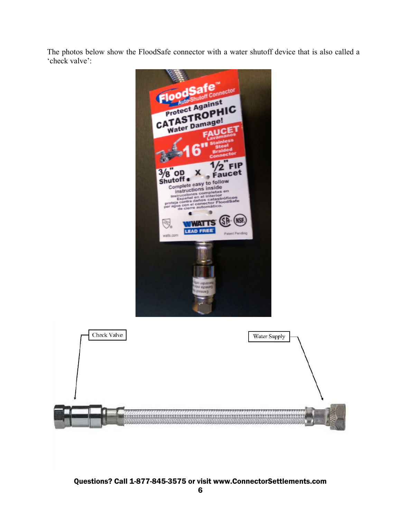The photos below show the FloodSafe connector with a water shutoff device that is also called a 'check valve':

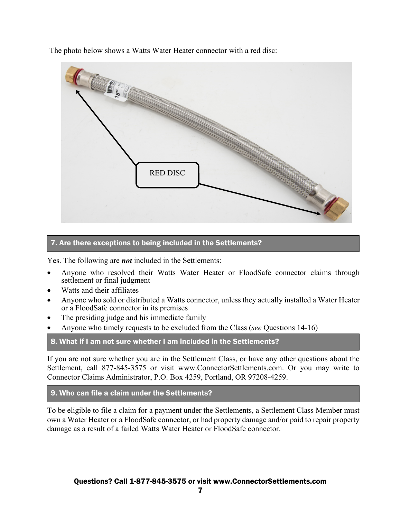The photo below shows a Watts Water Heater connector with a red disc:



#### 7. Are there exceptions to being included in the Settlements?

Yes. The following are *not* included in the Settlements:

- Anyone who resolved their Watts Water Heater or FloodSafe connector claims through settlement or final judgment
- Watts and their affiliates
- Anyone who sold or distributed a Watts connector, unless they actually installed a Water Heater or a FloodSafe connector in its premises
- The presiding judge and his immediate family
- Anyone who timely requests to be excluded from the Class (*see* Questions 14-16)

#### 8. What if I am not sure whether I am included in the Settlements?

If you are not sure whether you are in the Settlement Class, or have any other questions about the Settlement, call 877-845-3575 or visit www.ConnectorSettlements.com. Or you may write to Connector Claims Administrator, P.O. Box 4259, Portland, OR 97208-4259.

#### 9. Who can file a claim under the Settlements?

To be eligible to file a claim for a payment under the Settlements, a Settlement Class Member must own a Water Heater or a FloodSafe connector, or had property damage and/or paid to repair property damage as a result of a failed Watts Water Heater or FloodSafe connector.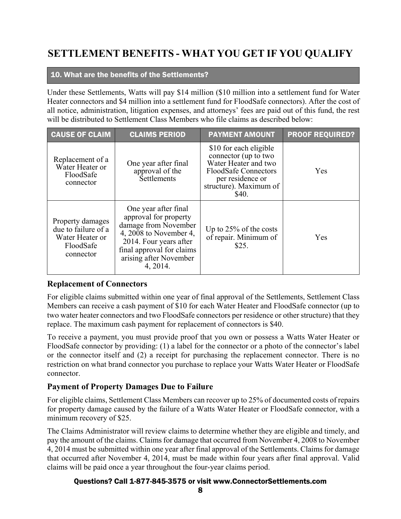# **SETTLEMENT BENEFITS - WHAT YOU GET IF YOU QUALIFY**

#### 10. What are the benefits of the Settlements?

Under these Settlements, Watts will pay \$14 million (\$10 million into a settlement fund for Water Heater connectors and \$4 million into a settlement fund for FloodSafe connectors). After the cost of all notice, administration, litigation expenses, and attorneys' fees are paid out of this fund, the rest will be distributed to Settlement Class Members who file claims as described below:

| <b>CAUSE OF CLAIM</b>                                                                | <b>CLAIMS PERIOD</b>                                                                                                                                                                         | <b>PAYMENT AMOUNT</b>                                                                                                                                        | <b>PROOF REQUIRED?</b> |
|--------------------------------------------------------------------------------------|----------------------------------------------------------------------------------------------------------------------------------------------------------------------------------------------|--------------------------------------------------------------------------------------------------------------------------------------------------------------|------------------------|
| Replacement of a<br>Water Heater or<br>FloodSafe<br>connector                        | One year after final<br>approval of the<br>Settlements                                                                                                                                       | \$10 for each eligible<br>connector (up to two<br>Water Heater and two<br><b>FloodSafe Connectors</b><br>per residence or<br>structure). Maximum of<br>\$40. | Yes                    |
| Property damages<br>due to failure of a<br>Water Heater or<br>FloodSafe<br>connector | One year after final<br>approval for property<br>damage from November<br>4, 2008 to November 4,<br>2014. Four years after<br>final approval for claims<br>arising after November<br>4, 2014. | Up to $25\%$ of the costs<br>of repair. Minimum of<br>\$25.                                                                                                  | Yes                    |

#### **Replacement of Connectors**

For eligible claims submitted within one year of final approval of the Settlements, Settlement Class Members can receive a cash payment of \$10 for each Water Heater and FloodSafe connector (up to two water heater connectors and two FloodSafe connectors per residence or other structure) that they replace. The maximum cash payment for replacement of connectors is \$40.

To receive a payment, you must provide proof that you own or possess a Watts Water Heater or FloodSafe connector by providing: (1) a label for the connector or a photo of the connector's label or the connector itself and (2) a receipt for purchasing the replacement connector. There is no restriction on what brand connector you purchase to replace your Watts Water Heater or FloodSafe connector.

#### **Payment of Property Damages Due to Failure**

For eligible claims, Settlement Class Members can recover up to 25% of documented costs of repairs for property damage caused by the failure of a Watts Water Heater or FloodSafe connector, with a minimum recovery of \$25.

The Claims Administrator will review claims to determine whether they are eligible and timely, and pay the amount of the claims. Claims for damage that occurred from November 4, 2008 to November 4, 2014 must be submitted within one year after final approval of the Settlements. Claims for damage that occurred after November 4, 2014, must be made within four years after final approval. Valid claims will be paid once a year throughout the four-year claims period.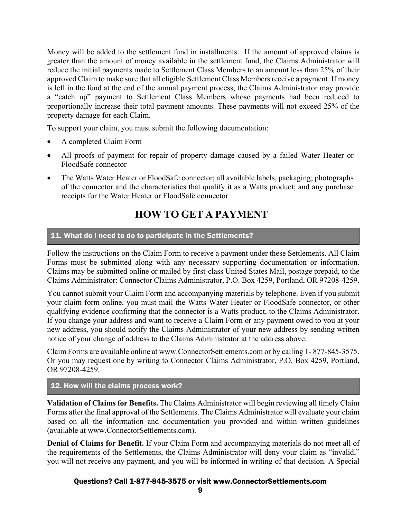Money will be added to the settlement fund in installments. If the amount of approved claims is greater than the amount of money available in the settlement fund, the Claims Administrator will reduce the initial payments made to Settlement Class Members to an amount less than 25% of their approved Claim to make sure that all eligible Settlement Class Members receive a payment. If money is left in the fund at the end of the annual payment process, the Claims Administrator may provide a "catch up" payment to Settlement Class Members whose payments had been reduced to proportionally increase their total payment amounts. These payments will not exceed 25% of the property damage for each Claim.

To support your claim, you must submit the following documentation:

- A completed Claim Form
- All proofs of payment for repair of property damage caused by a failed Water Heater or FloodSafe connector
- The Watts Water Heater or FloodSafe connector; all available labels, packaging; photographs of the connector and the characteristics that qualify it as a Watts product; and any purchase receipts for the Water Heater or FloodSafe connector

## **HOW TO GET A PAYMENT**

#### 11. What do I need to do to participate in the Settlements?

Follow the instructions on the Claim Form to receive a payment under these Settlements. All Claim Forms must be submitted along with any necessary supporting documentation or information. Claims may be submitted online or mailed by first-class United States Mail, postage prepaid, to the Claims Administrator: Connector Claims Administrator, P.O. Box 4259, Portland, OR 97208-4259.

You cannot submit your Claim Form and accompanying materials by telephone. Even if you submit your claim form online, you must mail the Watts Water Heater or FloodSafe connector, or other qualifying evidence confirming that the connector is a Watts product, to the Claims Administrator. If you change your address and want to receive a Claim Form or any payment owed to you at your new address, you should notify the Claims Administrator of your new address by sending written notice of your change of address to the Claims Administrator at the address above.

Claim Forms are available online at www.ConnectorSettlements.com or by calling 1- 877-845-3575. Or you may request one by writing to Connector Claims Administrator, P.O. Box 4259, Portland, OR 97208-4259.

#### 12. How will the claims process work?

**Validation of Claims for Benefits.** The Claims Administrator will begin reviewing all timely Claim Forms after the final approval of the Settlements. The Claims Administrator will evaluate your claim based on all the information and documentation you provided and within written guidelines (available at www.ConnectorSettlements.com).

**Denial of Claims for Benefit.** If your Claim Form and accompanying materials do not meet all of the requirements of the Settlements, the Claims Administrator will deny your claim as "invalid," you will not receive any payment, and you will be informed in writing of that decision. A Special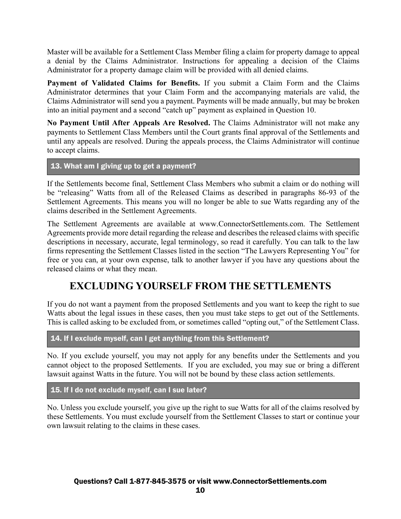Master will be available for a Settlement Class Member filing a claim for property damage to appeal a denial by the Claims Administrator. Instructions for appealing a decision of the Claims Administrator for a property damage claim will be provided with all denied claims.

**Payment of Validated Claims for Benefits.** If you submit a Claim Form and the Claims Administrator determines that your Claim Form and the accompanying materials are valid, the Claims Administrator will send you a payment. Payments will be made annually, but may be broken into an initial payment and a second "catch up" payment as explained in Question 10.

**No Payment Until After Appeals Are Resolved.** The Claims Administrator will not make any payments to Settlement Class Members until the Court grants final approval of the Settlements and until any appeals are resolved. During the appeals process, the Claims Administrator will continue to accept claims.

13. What am I giving up to get a payment?

If the Settlements become final, Settlement Class Members who submit a claim or do nothing will be "releasing" Watts from all of the Released Claims as described in paragraphs 86-93 of the Settlement Agreements. This means you will no longer be able to sue Watts regarding any of the claims described in the Settlement Agreements.

The Settlement Agreements are available at www.ConnectorSettlements.com. The Settlement Agreements provide more detail regarding the release and describes the released claims with specific descriptions in necessary, accurate, legal terminology, so read it carefully. You can talk to the law firms representing the Settlement Classes listed in the section "The Lawyers Representing You" for free or you can, at your own expense, talk to another lawyer if you have any questions about the released claims or what they mean.

### **EXCLUDING YOURSELF FROM THE SETTLEMENTS**

If you do not want a payment from the proposed Settlements and you want to keep the right to sue Watts about the legal issues in these cases, then you must take steps to get out of the Settlements. This is called asking to be excluded from, or sometimes called "opting out," of the Settlement Class.

14. If I exclude myself, can I get anything from this Settlement?

No. If you exclude yourself, you may not apply for any benefits under the Settlements and you cannot object to the proposed Settlements. If you are excluded, you may sue or bring a different lawsuit against Watts in the future. You will not be bound by these class action settlements.

15. If I do not exclude myself, can I sue later?

No. Unless you exclude yourself, you give up the right to sue Watts for all of the claims resolved by these Settlements. You must exclude yourself from the Settlement Classes to start or continue your own lawsuit relating to the claims in these cases.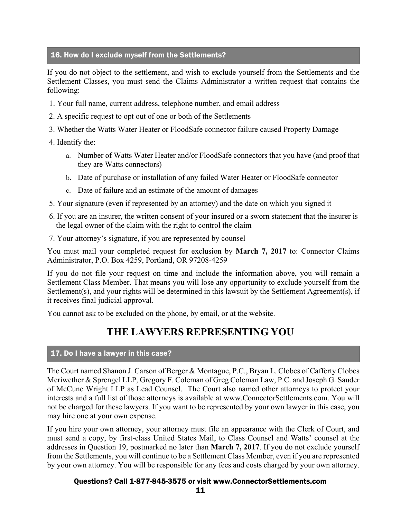#### 16. How do I exclude myself from the Settlements?

If you do not object to the settlement, and wish to exclude yourself from the Settlements and the Settlement Classes, you must send the Claims Administrator a written request that contains the following:

- 1. Your full name, current address, telephone number, and email address
- 2. A specific request to opt out of one or both of the Settlements
- 3. Whether the Watts Water Heater or FloodSafe connector failure caused Property Damage
- 4. Identify the:
	- a. Number of Watts Water Heater and/or FloodSafe connectors that you have (and proof that they are Watts connectors)
	- b. Date of purchase or installation of any failed Water Heater or FloodSafe connector
	- c. Date of failure and an estimate of the amount of damages
- 5. Your signature (even if represented by an attorney) and the date on which you signed it
- 6. If you are an insurer, the written consent of your insured or a sworn statement that the insurer is the legal owner of the claim with the right to control the claim
- 7. Your attorney's signature, if you are represented by counsel

You must mail your completed request for exclusion by **March 7, 2017** to: Connector Claims Administrator, P.O. Box 4259, Portland, OR 97208-4259

If you do not file your request on time and include the information above, you will remain a Settlement Class Member. That means you will lose any opportunity to exclude yourself from the Settlement(s), and your rights will be determined in this lawsuit by the Settlement Agreement(s), if it receives final judicial approval.

You cannot ask to be excluded on the phone, by email, or at the website.

### **THE LAWYERS REPRESENTING YOU**

#### 17. Do I have a lawyer in this case?

The Court named Shanon J. Carson of Berger & Montague, P.C., Bryan L. Clobes of Cafferty Clobes Meriwether & Sprengel LLP, Gregory F. Coleman of Greg Coleman Law, P.C. and Joseph G. Sauder of McCune Wright LLP as Lead Counsel. The Court also named other attorneys to protect your interests and a full list of those attorneys is available at www.ConnectorSettlements.com. You will not be charged for these lawyers. If you want to be represented by your own lawyer in this case, you may hire one at your own expense.

If you hire your own attorney, your attorney must file an appearance with the Clerk of Court, and must send a copy, by first-class United States Mail, to Class Counsel and Watts' counsel at the addresses in Question 19, postmarked no later than **March 7, 2017**. If you do not exclude yourself from the Settlements, you will continue to be a Settlement Class Member, even if you are represented by your own attorney. You will be responsible for any fees and costs charged by your own attorney.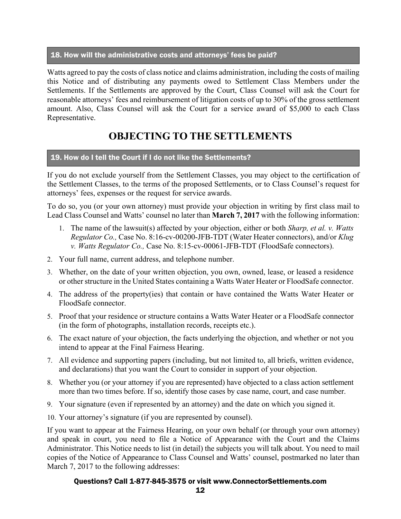#### 18. How will the administrative costs and attorneys' fees be paid?

Watts agreed to pay the costs of class notice and claims administration, including the costs of mailing this Notice and of distributing any payments owed to Settlement Class Members under the Settlements. If the Settlements are approved by the Court, Class Counsel will ask the Court for reasonable attorneys' fees and reimbursement of litigation costs of up to 30% of the gross settlement amount. Also, Class Counsel will ask the Court for a service award of \$5,000 to each Class Representative.

# **OBJECTING TO THE SETTLEMENTS**

#### 19. How do I tell the Court if I do not like the Settlements?

If you do not exclude yourself from the Settlement Classes, you may object to the certification of the Settlement Classes, to the terms of the proposed Settlements, or to Class Counsel's request for attorneys' fees, expenses or the request for service awards.

To do so, you (or your own attorney) must provide your objection in writing by first class mail to Lead Class Counsel and Watts' counsel no later than **March 7, 2017** with the following information:

- 1. The name of the lawsuit(s) affected by your objection, either or both *Sharp, et al. v. Watts Regulator Co.,* Case No. 8:16-cv-00200-JFB-TDT (Water Heater connectors), and/or *Klug v. Watts Regulator Co.,* Case No. 8:15-cv-00061-JFB-TDT (FloodSafe connectors).
- 2. Your full name, current address, and telephone number.
- 3. Whether, on the date of your written objection, you own, owned, lease, or leased a residence or other structure in the United States containing a Watts Water Heater or FloodSafe connector.
- 4. The address of the property(ies) that contain or have contained the Watts Water Heater or FloodSafe connector.
- 5. Proof that your residence or structure contains a Watts Water Heater or a FloodSafe connector (in the form of photographs, installation records, receipts etc.).
- 6. The exact nature of your objection, the facts underlying the objection, and whether or not you intend to appear at the Final Fairness Hearing.
- 7. All evidence and supporting papers (including, but not limited to, all briefs, written evidence, and declarations) that you want the Court to consider in support of your objection.
- 8. Whether you (or your attorney if you are represented) have objected to a class action settlement more than two times before. If so, identify those cases by case name, court, and case number.
- 9. Your signature (even if represented by an attorney) and the date on which you signed it.
- 10. Your attorney's signature (if you are represented by counsel).

If you want to appear at the Fairness Hearing, on your own behalf (or through your own attorney) and speak in court, you need to file a Notice of Appearance with the Court and the Claims Administrator. This Notice needs to list (in detail) the subjects you will talk about. You need to mail copies of the Notice of Appearance to Class Counsel and Watts' counsel, postmarked no later than March 7, 2017 to the following addresses: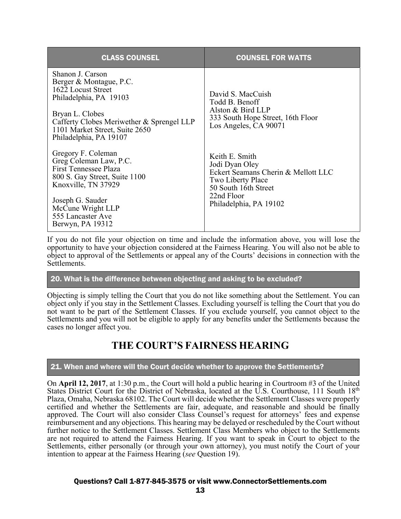| <b>CLASS COUNSEL</b>                                                                                                                                                                                                    | <b>COUNSEL FOR WATTS</b>                                                                                                                                            |
|-------------------------------------------------------------------------------------------------------------------------------------------------------------------------------------------------------------------------|---------------------------------------------------------------------------------------------------------------------------------------------------------------------|
| Shanon J. Carson<br>Berger & Montague, P.C.<br>1622 Locust Street<br>Philadelphia, PA 19103<br>Bryan L. Clobes<br>Cafferty Clobes Meriwether & Sprengel LLP<br>1101 Market Street, Suite 2650<br>Philadelphia, PA 19107 | David S. MacCuish<br>Todd B. Benoff<br>Alston & Bird LLP<br>333 South Hope Street, 16th Floor<br>Los Angeles, CA 90071                                              |
| Gregory F. Coleman<br>Greg Coleman Law, P.C.<br><b>First Tennessee Plaza</b><br>800 S. Gay Street, Suite 1100<br>Knoxville, TN 37929<br>Joseph G. Sauder<br>McCune Wright LLP<br>555 Lancaster Ave<br>Berwyn, PA 19312  | Keith E. Smith<br>Jodi Dyan Oley<br>Eckert Seamans Cherin & Mellott LLC<br><b>Two Liberty Place</b><br>50 South 16th Street<br>22nd Floor<br>Philadelphia, PA 19102 |

If you do not file your objection on time and include the information above, you will lose the opportunity to have your objection considered at the Fairness Hearing. You will also not be able to object to approval of the Settlements or appeal any of the Courts' decisions in connection with the Settlements.

#### 20. What is the difference between objecting and asking to be excluded?

Objecting is simply telling the Court that you do not like something about the Settlement. You can object only if you stay in the Settlement Classes. Excluding yourself is telling the Court that you do not want to be part of the Settlement Classes. If you exclude yourself, you cannot object to the Settlements and you will not be eligible to apply for any benefits under the Settlements because the cases no longer affect you.

### **THE COURT'S FAIRNESS HEARING**

#### 21. When and where will the Court decide whether to approve the Settlements?

On **April 12, 2017**, at 1:30 p.m., the Court will hold a public hearing in Courtroom #3 of the United States District Court for the District of Nebraska, located at the U.S. Courthouse, 111 South 18th Plaza, Omaha, Nebraska 68102. The Court will decide whether the Settlement Classes were properly certified and whether the Settlements are fair, adequate, and reasonable and should be finally approved. The Court will also consider Class Counsel's request for attorneys' fees and expense reimbursement and any objections. This hearing may be delayed or rescheduled by the Court without further notice to the Settlement Classes. Settlement Class Members who object to the Settlements are not required to attend the Fairness Hearing. If you want to speak in Court to object to the Settlements, either personally (or through your own attorney), you must notify the Court of your intention to appear at the Fairness Hearing (*see* Question 19).